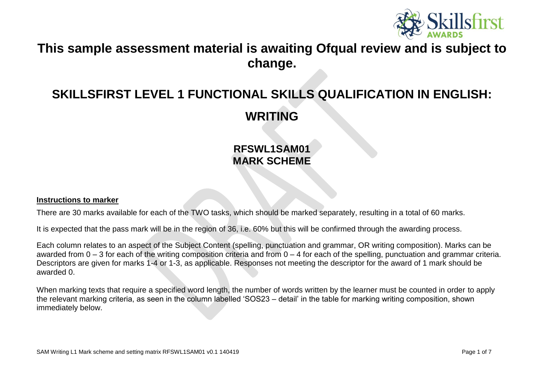

# **This sample assessment material is awaiting Ofqual review and is subject to change.**

# **SKILLSFIRST LEVEL 1 FUNCTIONAL SKILLS QUALIFICATION IN ENGLISH:**

**WRITING**

## **RFSWL1SAM01 MARK SCHEME**

#### **Instructions to marker**

There are 30 marks available for each of the TWO tasks, which should be marked separately, resulting in a total of 60 marks.

It is expected that the pass mark will be in the region of 36, i.e. 60% but this will be confirmed through the awarding process.

Each column relates to an aspect of the Subject Content (spelling, punctuation and grammar, OR writing composition). Marks can be awarded from 0 – 3 for each of the writing composition criteria and from 0 – 4 for each of the spelling, punctuation and grammar criteria. Descriptors are given for marks 1-4 or 1-3, as applicable. Responses not meeting the descriptor for the award of 1 mark should be awarded 0.

When marking texts that require a specified word length, the number of words written by the learner must be counted in order to apply the relevant marking criteria, as seen in the column labelled 'SOS23 – detail' in the table for marking writing composition, shown immediately below.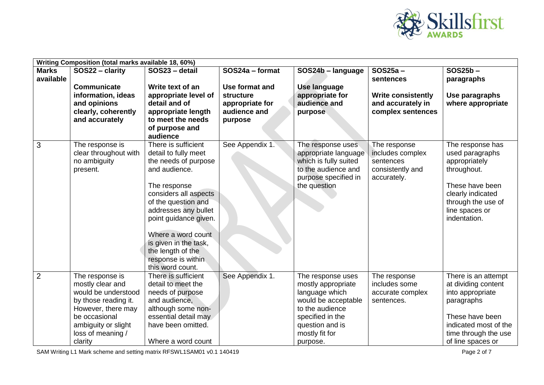

|                           | Writing Composition (total marks available 18, 60%)                                                                                                                              |                                                                                                                                                                                                                                                                                                                     |                                                                                              |                                                                                                                                                                          |                                                                                                |                                                                                                                                                                       |
|---------------------------|----------------------------------------------------------------------------------------------------------------------------------------------------------------------------------|---------------------------------------------------------------------------------------------------------------------------------------------------------------------------------------------------------------------------------------------------------------------------------------------------------------------|----------------------------------------------------------------------------------------------|--------------------------------------------------------------------------------------------------------------------------------------------------------------------------|------------------------------------------------------------------------------------------------|-----------------------------------------------------------------------------------------------------------------------------------------------------------------------|
| <b>Marks</b><br>available | SOS22 - clarity<br>Communicate<br>information, ideas<br>and opinions<br>clearly, coherently<br>and accurately                                                                    | SOS23 - detail<br>Write text of an<br>appropriate level of<br>detail and of<br>appropriate length<br>to meet the needs<br>of purpose and<br>audience                                                                                                                                                                | SOS24a - format<br>Use format and<br>structure<br>appropriate for<br>audience and<br>purpose | SOS24b - language<br><b>Use language</b><br>appropriate for<br>audience and<br>purpose                                                                                   | $SOS25a -$<br>sentences<br><b>Write consistently</b><br>and accurately in<br>complex sentences | SOS25b-<br>paragraphs<br>Use paragraphs<br>where appropriate                                                                                                          |
| 3                         | The response is<br>clear throughout with<br>no ambiguity<br>present.                                                                                                             | There is sufficient<br>detail to fully meet<br>the needs of purpose<br>and audience.<br>The response<br>considers all aspects<br>of the question and<br>addresses any bullet<br>point guidance given.<br>Where a word count<br>is given in the task,<br>the length of the<br>response is within<br>this word count. | See Appendix 1.                                                                              | The response uses<br>appropriate language<br>which is fully suited<br>to the audience and<br>purpose specified in<br>the question                                        | The response<br>includes complex<br>sentences<br>consistently and<br>accurately.               | The response has<br>used paragraphs<br>appropriately<br>throughout.<br>These have been<br>clearly indicated<br>through the use of<br>line spaces or<br>indentation.   |
| $\overline{2}$            | The response is<br>mostly clear and<br>would be understood<br>by those reading it.<br>However, there may<br>be occasional<br>ambiguity or slight<br>loss of meaning /<br>clarity | There is sufficient<br>detail to meet the<br>needs of purpose<br>and audience,<br>although some non-<br>essential detail may<br>have been omitted.<br>Where a word count                                                                                                                                            | See Appendix 1.                                                                              | The response uses<br>mostly appropriate<br>language which<br>would be acceptable<br>to the audience<br>specified in the<br>question and is<br>mostly fit for<br>purpose. | The response<br>includes some<br>accurate complex<br>sentences.                                | There is an attempt<br>at dividing content<br>into appropriate<br>paragraphs<br>These have been<br>indicated most of the<br>time through the use<br>of line spaces or |

SAM Writing L1 Mark scheme and setting matrix RFSWL1SAM01 v0.1 140419 Page 2 of 7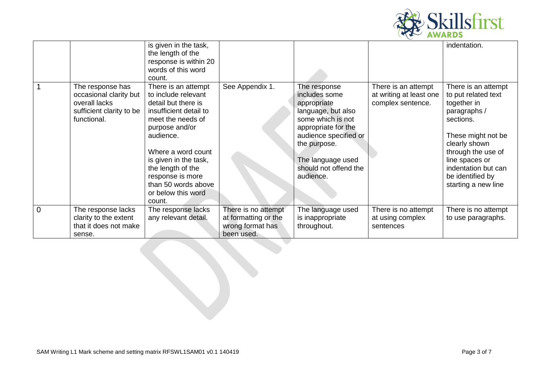

|                |                          | is given in the task,  |                      |                       |                         | indentation.        |
|----------------|--------------------------|------------------------|----------------------|-----------------------|-------------------------|---------------------|
|                |                          | the length of the      |                      |                       |                         |                     |
|                |                          | response is within 20  |                      |                       |                         |                     |
|                |                          | words of this word     |                      |                       |                         |                     |
|                |                          | count.                 |                      |                       |                         |                     |
|                | The response has         | There is an attempt    | See Appendix 1.      | The response          | There is an attempt     | There is an attempt |
|                | occasional clarity but   | to include relevant    |                      | includes some         | at writing at least one | to put related text |
|                | overall lacks            | detail but there is    |                      | appropriate           | complex sentence.       | together in         |
|                | sufficient clarity to be | insufficient detail to |                      | language, but also    |                         | paragraphs /        |
|                | functional.              | meet the needs of      |                      | some which is not     |                         | sections.           |
|                |                          | purpose and/or         |                      | appropriate for the   |                         |                     |
|                |                          | audience.              |                      | audience specified or |                         | These might not be  |
|                |                          |                        |                      | the purpose.          |                         | clearly shown       |
|                |                          | Where a word count     |                      |                       |                         | through the use of  |
|                |                          | is given in the task,  |                      | The language used     |                         | line spaces or      |
|                |                          | the length of the      |                      | should not offend the |                         | indentation but can |
|                |                          | response is more       |                      | audience.             |                         | be identified by    |
|                |                          | than 50 words above    |                      |                       |                         | starting a new line |
|                |                          | or below this word     |                      |                       |                         |                     |
|                |                          | count.                 |                      |                       |                         |                     |
| $\overline{0}$ |                          |                        |                      |                       |                         |                     |
|                | The response lacks       | The response lacks     | There is no attempt  | The language used     | There is no attempt     | There is no attempt |
|                | clarity to the extent    | any relevant detail.   | at formatting or the | is inappropriate      | at using complex        | to use paragraphs.  |
|                | that it does not make    |                        | wrong format has     | throughout.           | sentences               |                     |
|                | sense.                   |                        | been used.           |                       |                         |                     |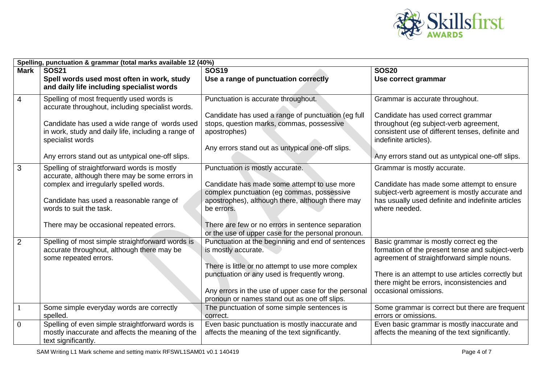

| Spelling, punctuation & grammar (total marks available 12 (40%) |                                                                                                                                                                                                                                                                               |                                                                                                                                                                                                                                                                                                           |                                                                                                                                                                                                                                                                     |  |  |
|-----------------------------------------------------------------|-------------------------------------------------------------------------------------------------------------------------------------------------------------------------------------------------------------------------------------------------------------------------------|-----------------------------------------------------------------------------------------------------------------------------------------------------------------------------------------------------------------------------------------------------------------------------------------------------------|---------------------------------------------------------------------------------------------------------------------------------------------------------------------------------------------------------------------------------------------------------------------|--|--|
| <b>Mark</b>                                                     | <b>SOS21</b>                                                                                                                                                                                                                                                                  | <b>SOS19</b>                                                                                                                                                                                                                                                                                              | <b>SOS20</b>                                                                                                                                                                                                                                                        |  |  |
|                                                                 | Spell words used most often in work, study<br>and daily life including specialist words                                                                                                                                                                                       | Use a range of punctuation correctly                                                                                                                                                                                                                                                                      | Use correct grammar                                                                                                                                                                                                                                                 |  |  |
| $\overline{4}$                                                  | Spelling of most frequently used words is<br>accurate throughout, including specialist words.<br>Candidate has used a wide range of words used<br>in work, study and daily life, including a range of<br>specialist words<br>Any errors stand out as untypical one-off slips. | Punctuation is accurate throughout.<br>Candidate has used a range of punctuation (eg full<br>stops, question marks, commas, possessive<br>apostrophes)<br>Any errors stand out as untypical one-off slips.                                                                                                | Grammar is accurate throughout.<br>Candidate has used correct grammar<br>throughout (eg subject-verb agreement,<br>consistent use of different tenses, definite and<br>indefinite articles).<br>Any errors stand out as untypical one-off slips.                    |  |  |
| 3                                                               | Spelling of straightforward words is mostly<br>accurate, although there may be some errors in<br>complex and irregularly spelled words.<br>Candidate has used a reasonable range of<br>words to suit the task.<br>There may be occasional repeated errors.                    | Punctuation is mostly accurate.<br>Candidate has made some attempt to use more<br>complex punctuation (eg commas, possessive<br>apostrophes), although there, although there may<br>be errors.<br>There are few or no errors in sentence separation<br>or the use of upper case for the personal pronoun. | Grammar is mostly accurate.<br>Candidate has made some attempt to ensure<br>subject-verb agreement is mostly accurate and<br>has usually used definite and indefinite articles<br>where needed.                                                                     |  |  |
| $\overline{2}$                                                  | Spelling of most simple straightforward words is<br>accurate throughout, although there may be<br>some repeated errors.                                                                                                                                                       | Punctuation at the beginning and end of sentences<br>is mostly accurate.<br>There is little or no attempt to use more complex<br>punctuation or any used is frequently wrong.<br>Any errors in the use of upper case for the personal<br>pronoun or names stand out as one off slips.                     | Basic grammar is mostly correct eg the<br>formation of the present tense and subject-verb<br>agreement of straightforward simple nouns.<br>There is an attempt to use articles correctly but<br>there might be errors, inconsistencies and<br>occasional omissions. |  |  |
|                                                                 | Some simple everyday words are correctly<br>spelled.                                                                                                                                                                                                                          | The punctuation of some simple sentences is<br>correct.                                                                                                                                                                                                                                                   | Some grammar is correct but there are frequent<br>errors or omissions.                                                                                                                                                                                              |  |  |
| $\theta$                                                        | Spelling of even simple straightforward words is<br>mostly inaccurate and affects the meaning of the<br>text significantly.                                                                                                                                                   | Even basic punctuation is mostly inaccurate and<br>affects the meaning of the text significantly.                                                                                                                                                                                                         | Even basic grammar is mostly inaccurate and<br>affects the meaning of the text significantly.                                                                                                                                                                       |  |  |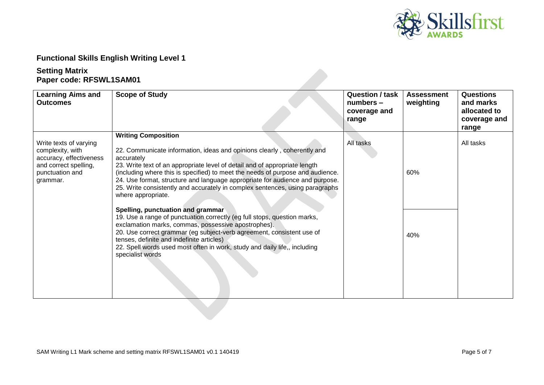

### **Functional Skills English Writing Level 1**

#### **Setting Matrix Paper code: RFSWL1SAM01**

| <b>Learning Aims and</b><br><b>Outcomes</b>                                                                                   | <b>Scope of Study</b>                                                                                                                                                                                                                                                                                                                                                                                                                                                                                                                                                                                                                                                                                                                                                                                                                                                    | <b>Question / task</b><br>$numbers -$<br>coverage and<br>range | <b>Assessment</b><br>weighting | <b>Questions</b><br>and marks<br>allocated to<br>coverage and<br>range |
|-------------------------------------------------------------------------------------------------------------------------------|--------------------------------------------------------------------------------------------------------------------------------------------------------------------------------------------------------------------------------------------------------------------------------------------------------------------------------------------------------------------------------------------------------------------------------------------------------------------------------------------------------------------------------------------------------------------------------------------------------------------------------------------------------------------------------------------------------------------------------------------------------------------------------------------------------------------------------------------------------------------------|----------------------------------------------------------------|--------------------------------|------------------------------------------------------------------------|
| Write texts of varying<br>complexity, with<br>accuracy, effectiveness<br>and correct spelling,<br>punctuation and<br>grammar. | <b>Writing Composition</b><br>22. Communicate information, ideas and opinions clearly, coherently and<br>accurately<br>23. Write text of an appropriate level of detail and of appropriate length<br>(including where this is specified) to meet the needs of purpose and audience.<br>24. Use format, structure and language appropriate for audience and purpose.<br>25. Write consistently and accurately in complex sentences, using paragraphs<br>where appropriate.<br>Spelling, punctuation and grammar<br>19. Use a range of punctuation correctly (eg full stops, question marks,<br>exclamation marks, commas, possessive apostrophes).<br>20. Use correct grammar (eg subject-verb agreement, consistent use of<br>tenses, definite and indefinite articles)<br>22. Spell words used most often in work, study and daily life,, including<br>specialist words | All tasks                                                      | 60%<br>40%                     | All tasks                                                              |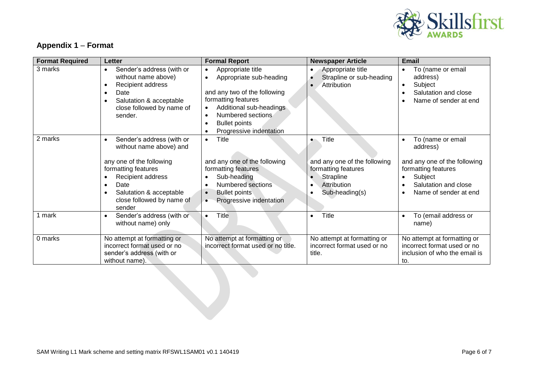

### **Appendix 1** – **Format**

| <b>Format Required</b> | <b>Letter</b>                                                                                                                                                                           | <b>Formal Report</b>                                                                                                                                                                                                                         | <b>Newspaper Article</b>                                                       | <b>Email</b>                                                                                                                                  |
|------------------------|-----------------------------------------------------------------------------------------------------------------------------------------------------------------------------------------|----------------------------------------------------------------------------------------------------------------------------------------------------------------------------------------------------------------------------------------------|--------------------------------------------------------------------------------|-----------------------------------------------------------------------------------------------------------------------------------------------|
| 3 marks                | Sender's address (with or<br>$\bullet$<br>without name above)<br>Recipient address<br>$\bullet$<br>Date<br>$\bullet$<br>Salutation & acceptable<br>close followed by name of<br>sender. | Appropriate title<br>$\bullet$<br>Appropriate sub-heading<br>$\bullet$<br>and any two of the following<br>formatting features<br>Additional sub-headings<br>$\bullet$<br>Numbered sections<br>$\bullet$<br><b>Bullet points</b><br>$\bullet$ | Appropriate title<br>$\bullet$<br>Strapline or sub-heading<br>ø<br>Attribution | To (name or email<br>$\bullet$<br>address)<br>Subject<br>$\bullet$<br>Salutation and close<br>$\bullet$<br>Name of sender at end<br>$\bullet$ |
| 2 marks                | Sender's address (with or<br>$\bullet$<br>without name above) and<br>any one of the following                                                                                           | Progressive indentation<br>$\bullet$<br><b>Title</b><br>$\bullet$<br>and any one of the following                                                                                                                                            | <b>Title</b><br>$\bullet$<br>and any one of the following                      | To (name or email<br>$\bullet$<br>address)<br>and any one of the following                                                                    |
|                        | formatting features<br>Recipient address<br>Date<br>$\bullet$<br>Salutation & acceptable<br>close followed by name of<br>sender                                                         | formatting features<br>Sub-heading<br>$\bullet$<br>Numbered sections<br>$\bullet$<br><b>Bullet points</b><br>$\bullet$<br>Progressive indentation<br>$\bullet$                                                                               | formatting features<br>Strapline<br>Attribution<br>$\bullet$<br>Sub-heading(s) | formatting features<br>Subject<br>$\bullet$<br>Salutation and close<br>$\bullet$<br>Name of sender at end                                     |
| 1 mark                 | Sender's address (with or<br>$\bullet$<br>without name) only                                                                                                                            | Title<br>$\bullet$                                                                                                                                                                                                                           | Title<br>$\bullet$                                                             | To (email address or<br>$\bullet$<br>name)                                                                                                    |
| 0 marks                | No attempt at formatting or<br>incorrect format used or no<br>sender's address (with or<br>without name).                                                                               | No attempt at formatting or<br>incorrect format used or no title.                                                                                                                                                                            | No attempt at formatting or<br>incorrect format used or no<br>title.           | No attempt at formatting or<br>incorrect format used or no<br>inclusion of who the email is<br>to.                                            |
|                        |                                                                                                                                                                                         |                                                                                                                                                                                                                                              |                                                                                |                                                                                                                                               |